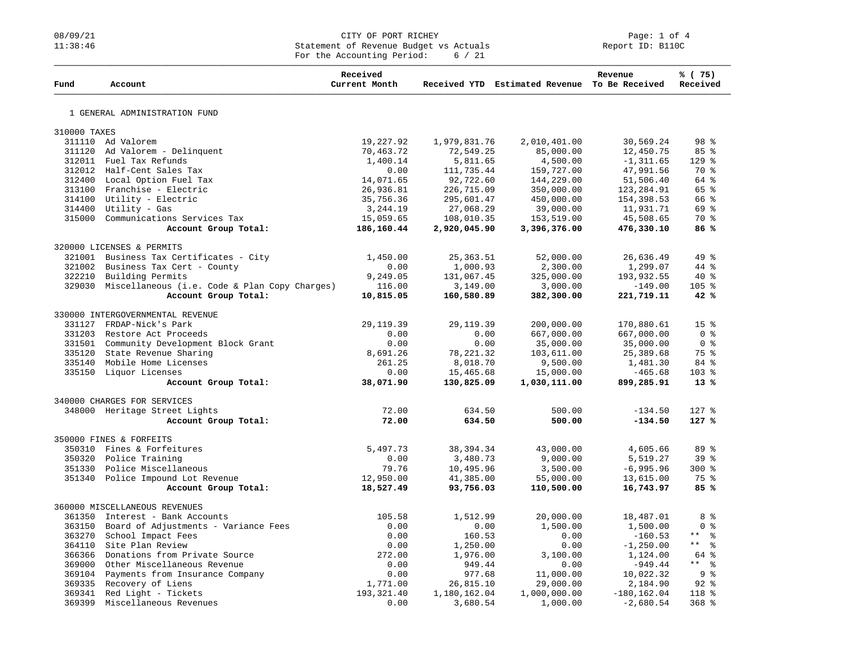## 08/09/21 CITY OF PORT RICHEY Page: 1 of 4<br>
Statement of Revenue Budget vs Actuals Report ID: B110C Statement of Revenue Budget vs Actuals For the Accounting Period: 6 / 21

| Fund         | Account                                                                 | Received<br>Current Month |              | Received YTD Estimated Revenue To Be Received | Revenue                | % (75)<br>Received                |
|--------------|-------------------------------------------------------------------------|---------------------------|--------------|-----------------------------------------------|------------------------|-----------------------------------|
|              |                                                                         |                           |              |                                               |                        |                                   |
|              | 1 GENERAL ADMINISTRATION FUND                                           |                           |              |                                               |                        |                                   |
| 310000 TAXES |                                                                         |                           |              |                                               |                        |                                   |
|              | 311110 Ad Valorem                                                       | 19,227.92                 | 1,979,831.76 | 2,010,401.00                                  | 30,569.24              | 98 <sup>8</sup>                   |
|              | 311120 Ad Valorem - Delinquent                                          | 70,463.72                 | 72,549.25    | 85,000.00                                     | 12,450.75              | 85%                               |
|              | 312011 Fuel Tax Refunds                                                 | 1,400.14                  | 5,811.65     | 4,500.00                                      | $-1, 311.65$           | $129$ %                           |
|              | 312012 Half-Cent Sales Tax                                              | 0.00                      | 111,735.44   | 159,727.00                                    | 47,991.56              | 70 %                              |
|              | 312400 Local Option Fuel Tax                                            | 14,071.65                 | 92,722.60    | 144,229.00                                    | 51,506.40              | 64 %                              |
|              | 313100 Franchise - Electric                                             | 26,936.81                 | 226,715.09   | 350,000.00                                    | 123,284.91             | 65 %                              |
|              | 314100 Utility - Electric                                               | 35,756.36                 | 295,601.47   | 450,000.00                                    | 154,398.53             | 66 %                              |
|              | 314400 Utility - Gas                                                    | 3,244.19                  | 27,068.29    | 39,000.00                                     | 11,931.71              | 69 %                              |
|              | 315000 Communications Services Tax                                      | 15,059.65                 | 108,010.35   | 153,519.00                                    | 45,508.65              | 70 %                              |
|              | Account Group Total:                                                    | 186,160.44                | 2,920,045.90 | 3,396,376.00                                  | 476,330.10             | 86%                               |
|              | 320000 LICENSES & PERMITS                                               |                           |              |                                               |                        |                                   |
| 321001       | Business Tax Certificates - City                                        | 1,450.00                  | 25, 363.51   | 52,000.00                                     | 26,636.49              | 49 %                              |
| 321002       | Business Tax Cert - County                                              | 0.00                      | 1,000.93     | 2,300.00                                      | 1,299.07               | 44 %                              |
| 322210       | Building Permits                                                        | 9,249.05                  | 131,067.45   | 325,000.00                                    | 193,932.55             | $40*$                             |
|              | 329030 Miscellaneous (i.e. Code & Plan Copy Charges)                    | 116.00                    | 3,149.00     | 3,000.00                                      | $-149.00$              | 105 <sub>8</sub>                  |
|              | Account Group Total:                                                    | 10,815.05                 | 160,580.89   | 382,300.00                                    | 221,719.11             | 42%                               |
|              |                                                                         |                           |              |                                               |                        |                                   |
|              | 330000 INTERGOVERNMENTAL REVENUE                                        |                           |              |                                               |                        |                                   |
|              | 331127 FRDAP-Nick's Park                                                | 29, 119.39                | 29, 119.39   | 200,000.00                                    | 170,880.61             | 15 <sup>8</sup><br>0 <sup>8</sup> |
|              | 331203 Restore Act Proceeds<br>331501 Community Development Block Grant | 0.00<br>0.00              | 0.00<br>0.00 | 667,000.00                                    | 667,000.00             | 0 %                               |
|              | 335120 State Revenue Sharing                                            | 8,691.26                  | 78, 221.32   | 35,000.00<br>103,611.00                       | 35,000.00<br>25,389.68 | 75%                               |
|              | 335140 Mobile Home Licenses                                             | 261.25                    | 8,018.70     | 9,500.00                                      | 1,481.30               | 84 %                              |
|              | 335150 Liquor Licenses                                                  | 0.00                      | 15,465.68    | 15,000.00                                     | $-465.68$              | 103 %                             |
|              | Account Group Total:                                                    | 38,071.90                 | 130,825.09   | 1,030,111.00                                  | 899,285.91             | $13*$                             |
|              |                                                                         |                           |              |                                               |                        |                                   |
|              | 340000 CHARGES FOR SERVICES                                             | 72.00                     | 634.50       | 500.00                                        | $-134.50$              | 127 %                             |
|              | 348000 Heritage Street Lights<br>Account Group Total:                   | 72.00                     | 634.50       | 500.00                                        | $-134.50$              | 127%                              |
|              |                                                                         |                           |              |                                               |                        |                                   |
|              | 350000 FINES & FORFEITS                                                 |                           |              |                                               |                        |                                   |
| 350310       | Fines & Forfeitures                                                     | 5,497.73                  | 38, 394. 34  | 43,000.00                                     | 4,605.66               | 89 %                              |
|              | 350320 Police Training                                                  | 0.00                      | 3,480.73     | 9,000.00                                      | 5,519.27               | 39 <sup>8</sup>                   |
|              | 351330 Police Miscellaneous                                             | 79.76                     | 10,495.96    | 3,500.00                                      | $-6,995.96$            | $300*$                            |
|              | 351340 Police Impound Lot Revenue                                       | 12,950.00                 | 41,385.00    | 55,000.00                                     | 13,615.00              | 75 %                              |
|              | Account Group Total:                                                    | 18,527.49                 | 93,756.03    | 110,500.00                                    | 16,743.97              | 85%                               |
|              | 360000 MISCELLANEOUS REVENUES                                           |                           |              |                                               |                        |                                   |
|              | 361350 Interest - Bank Accounts                                         | 105.58                    | 1,512.99     | 20,000.00                                     | 18,487.01              | 8 %                               |
|              | 363150 Board of Adjustments - Variance Fees                             | 0.00                      | 0.00         | 1,500.00                                      | 1,500.00               | 0 <sup>8</sup>                    |
| 363270       | School Impact Fees                                                      | 0.00                      | 160.53       | 0.00                                          | $-160.53$              | $***$<br>း<br>စီ                  |
|              | 364110 Site Plan Review                                                 | 0.00                      | 1,250.00     | 0.00                                          | $-1, 250.00$           | $\star$ $\star$<br>ႜ              |
|              | 366366 Donations from Private Source                                    | 272.00                    | 1,976.00     | 3,100.00                                      | 1,124.00               | 64 %                              |
|              | 369000 Other Miscellaneous Revenue                                      | 0.00                      | 949.44       | 0.00                                          | $-949.44$              | $***$ 8                           |
|              | 369104 Payments from Insurance Company                                  | 0.00                      | 977.68       | 11,000.00                                     | 10,022.32              | 9%                                |
|              | 369335 Recovery of Liens                                                | 1,771.00                  | 26,815.10    | 29,000.00                                     | 2,184.90               | $92$ $%$                          |
|              | 369341 Red Light - Tickets                                              | 193, 321.40               | 1,180,162.04 | 1,000,000.00                                  | $-180, 162.04$         | 118 %                             |
| 369399       | Miscellaneous Revenues                                                  | 0.00                      | 3,680.54     | 1,000.00                                      | $-2,680.54$            | $368$ %                           |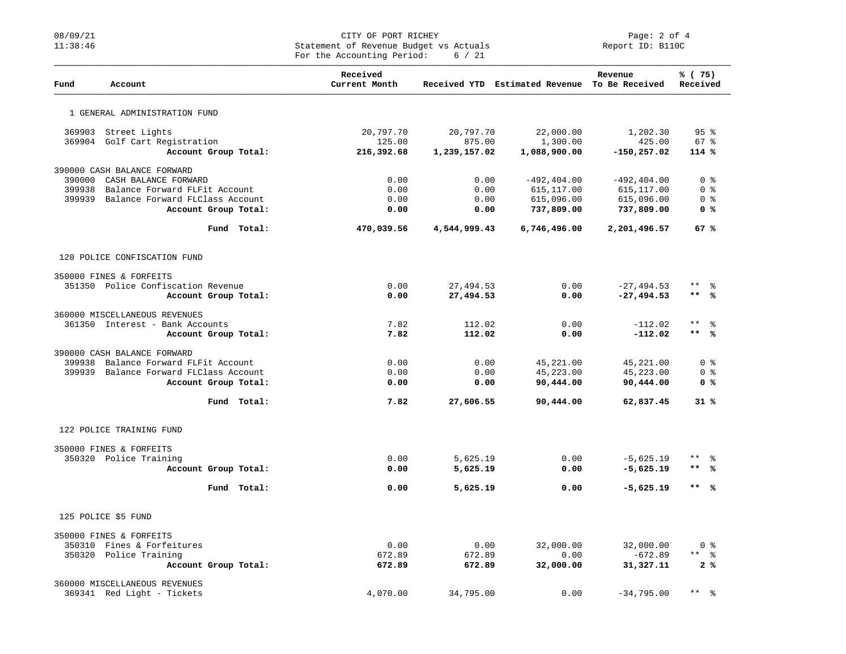## 08/09/21 CITY OF PORT RICHEY PORT RICHEY PART PART PORT RICHEY PAGE: 2 of 4<br>
Statement of Revenue Budget vs Actuals Statement of Revenue Budget vs Actuals For the Accounting Period: 6 / 21

| Fund   | Account                                |             | Received<br>Current Month |              | Received YTD Estimated Revenue To Be Received | Revenue        | % (75)<br>Received    |
|--------|----------------------------------------|-------------|---------------------------|--------------|-----------------------------------------------|----------------|-----------------------|
|        | 1 GENERAL ADMINISTRATION FUND          |             |                           |              |                                               |                |                       |
|        | 369903 Street Lights                   |             | 20,797.70                 | 20,797.70    | 22,000.00                                     | 1,202.30       | 95%                   |
|        | 369904 Golf Cart Registration          |             | 125.00                    | 875.00       | 1,300.00                                      | 425.00         | $67$ %                |
|        | Account Group Total:                   |             | 216,392.68                | 1,239,157.02 | 1,088,900.00                                  | $-150, 257.02$ | 114 %                 |
|        | 390000 CASH BALANCE FORWARD            |             |                           |              |                                               |                |                       |
| 390000 | CASH BALANCE FORWARD                   |             | 0.00                      | 0.00         | $-492, 404.00$                                | $-492, 404.00$ | 0 <sup>8</sup>        |
| 399938 | Balance Forward FLFit Account          |             | 0.00                      | 0.00         | 615, 117.00                                   | 615, 117.00    | 0 <sup>8</sup>        |
| 399939 | Balance Forward FLClass Account        |             | 0.00                      | 0.00         | 615,096.00                                    | 615,096.00     | 0 <sup>8</sup>        |
|        | Account Group Total:                   |             | 0.00                      | 0.00         | 737,809.00                                    | 737,809.00     | 0 <sup>8</sup>        |
|        |                                        | Fund Total: | 470,039.56                | 4,544,999.43 | 6,746,496.00                                  | 2,201,496.57   | 67%                   |
|        | 120 POLICE CONFISCATION FUND           |             |                           |              |                                               |                |                       |
|        | 350000 FINES & FORFEITS                |             |                           |              |                                               |                |                       |
|        | 351350 Police Confiscation Revenue     |             | 0.00                      | 27,494.53    | 0.00                                          | $-27, 494.53$  | $***$ $  -$           |
|        | Account Group Total:                   |             | 0.00                      | 27,494.53    | 0.00                                          | $-27, 494.53$  | $***$ %               |
|        | 360000 MISCELLANEOUS REVENUES          |             |                           |              |                                               |                |                       |
|        | 361350 Interest - Bank Accounts        |             | 7.82                      | 112.02       | 0.00                                          | $-112.02$      | $\star$ $\star$<br>န္ |
|        | Account Group Total:                   |             | 7.82                      | 112.02       | 0.00                                          | $-112.02$      | $***$ %               |
|        | 390000 CASH BALANCE FORWARD            |             |                           |              |                                               |                |                       |
|        | 399938 Balance Forward FLFit Account   |             | 0.00                      | 0.00         | 45,221.00                                     | 45,221.00      | 0 <sub>8</sub>        |
|        | 399939 Balance Forward FLClass Account |             | 0.00                      | 0.00         | 45,223.00                                     | 45,223.00      | 0 %                   |
|        | Account Group Total:                   |             | 0.00                      | 0.00         | 90,444.00                                     | 90,444.00      | 0 <sup>8</sup>        |
|        |                                        | Fund Total: | 7.82                      | 27,606.55    | 90,444.00                                     | 62,837.45      | 31%                   |
|        | 122 POLICE TRAINING FUND               |             |                           |              |                                               |                |                       |
|        | 350000 FINES & FORFEITS                |             |                           |              |                                               |                |                       |
|        | 350320 Police Training                 |             | 0.00                      | 5,625.19     | 0.00                                          | $-5,625.19$    | $***$ $ -$            |
|        | Account Group Total:                   |             | 0.00                      | 5,625.19     | 0.00                                          | $-5,625.19$    | $***$ %               |
|        |                                        | Fund Total: | 0.00                      | 5,625.19     | 0.00                                          | $-5,625.19$    | ** %                  |
|        | 125 POLICE \$5 FUND                    |             |                           |              |                                               |                |                       |
|        | 350000 FINES & FORFEITS                |             |                           |              |                                               |                |                       |
|        | 350310 Fines & Forfeitures             |             | 0.00                      | 0.00         | 32,000.00                                     | 32,000.00      | 0 <sup>8</sup>        |
|        | 350320 Police Training                 |             | 672.89                    | 672.89       | 0.00                                          | $-672.89$      | $***$ 8               |
|        | Account Group Total:                   |             | 672.89                    | 672.89       | 32,000.00                                     | 31,327.11      | 2%                    |
|        | 360000 MISCELLANEOUS REVENUES          |             |                           |              |                                               |                |                       |
|        | 369341 Red Light - Tickets             |             | 4,070.00                  | 34,795.00    | 0.00                                          | $-34,795.00$   | $***$<br>း            |